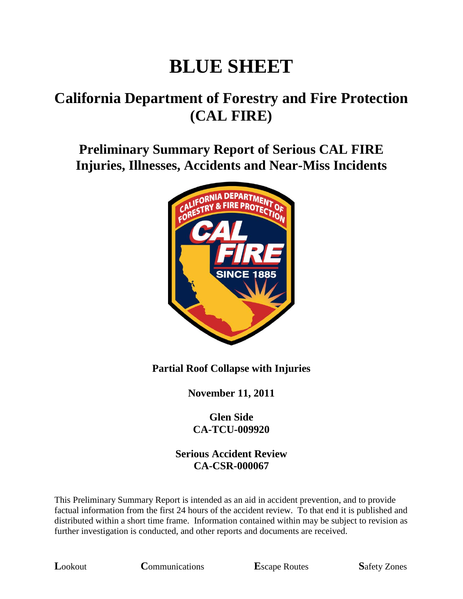# **BLUE SHEET**

# **California Department of Forestry and Fire Protection (CAL FIRE)**

## **Preliminary Summary Report of Serious CAL FIRE Injuries, Illnesses, Accidents and Near-Miss Incidents**



#### **Partial Roof Collapse with Injuries**

**November 11, 2011**

#### **Glen Side CA-TCU-009920**

#### **Serious Accident Review CA-CSR-000067**

This Preliminary Summary Report is intended as an aid in accident prevention, and to provide factual information from the first 24 hours of the accident review. To that end it is published and distributed within a short time frame. Information contained within may be subject to revision as further investigation is conducted, and other reports and documents are received.

**L**ookout **C**ommunications **E**scape Routes **S**afety Zones